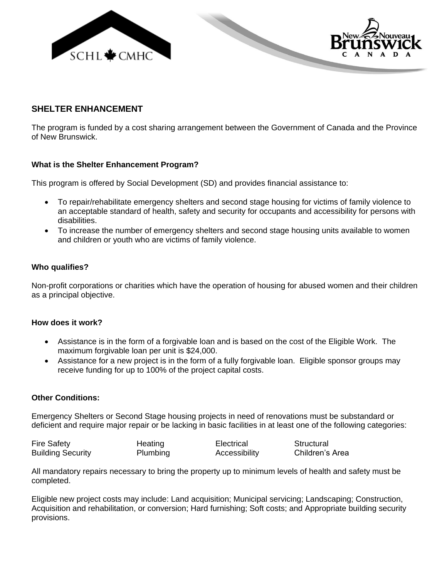



## **SHELTER ENHANCEMENT**

The program is funded by a cost sharing arrangement between the Government of Canada and the Province of New Brunswick.

### **What is the Shelter Enhancement Program?**

This program is offered by Social Development (SD) and provides financial assistance to:

- To repair/rehabilitate emergency shelters and second stage housing for victims of family violence to an acceptable standard of health, safety and security for occupants and accessibility for persons with disabilities.
- To increase the number of emergency shelters and second stage housing units available to women and children or youth who are victims of family violence.

#### **Who qualifies?**

Non-profit corporations or charities which have the operation of housing for abused women and their children as a principal objective.

#### **How does it work?**

- Assistance is in the form of a forgivable loan and is based on the cost of the Eligible Work. The maximum forgivable loan per unit is \$24,000.
- Assistance for a new project is in the form of a fully forgivable loan. Eligible sponsor groups may receive funding for up to 100% of the project capital costs.

#### **Other Conditions:**

Emergency Shelters or Second Stage housing projects in need of renovations must be substandard or deficient and require major repair or be lacking in basic facilities in at least one of the following categories:

| <b>Fire Safety</b>       | Heating         | Electrical    | Structural      |
|--------------------------|-----------------|---------------|-----------------|
| <b>Building Security</b> | <b>Plumbing</b> | Accessibility | Children's Area |

All mandatory repairs necessary to bring the property up to minimum levels of health and safety must be completed.

Eligible new project costs may include: Land acquisition; Municipal servicing; Landscaping; Construction, Acquisition and rehabilitation, or conversion; Hard furnishing; Soft costs; and Appropriate building security provisions.